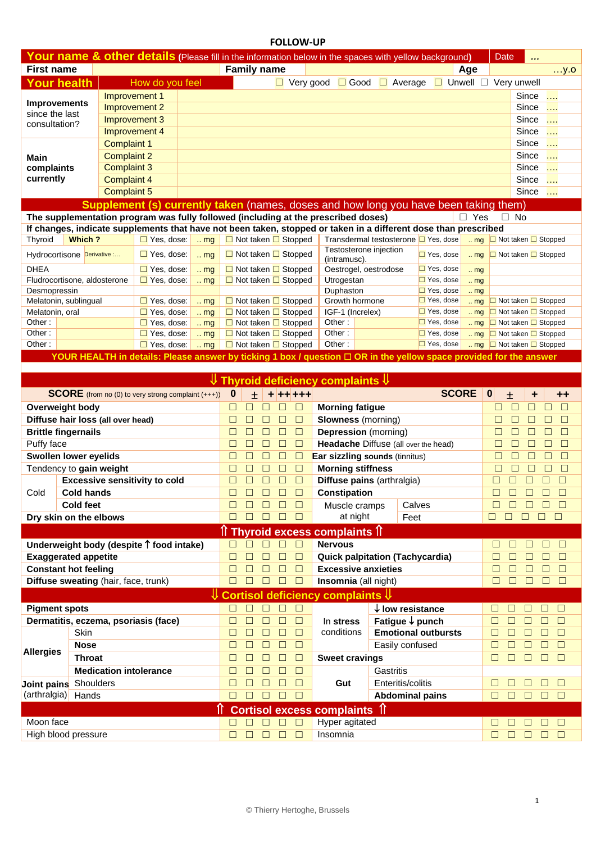| <b>FOLLOW-UP</b>                                          |                                                                 |                    |                                                                                                                    |                            |                  |                    |                                      |                                                                    |                                                          |                   |                                             |                                      |              |             |                                                                           |                                   |                  |  |
|-----------------------------------------------------------|-----------------------------------------------------------------|--------------------|--------------------------------------------------------------------------------------------------------------------|----------------------------|------------------|--------------------|--------------------------------------|--------------------------------------------------------------------|----------------------------------------------------------|-------------------|---------------------------------------------|--------------------------------------|--------------|-------------|---------------------------------------------------------------------------|-----------------------------------|------------------|--|
|                                                           |                                                                 |                    | Your name & other details (Please fill in the information below in the spaces with yellow background)              |                            |                  |                    |                                      |                                                                    |                                                          |                   |                                             |                                      |              |             | Date                                                                      |                                   |                  |  |
| <b>First name</b>                                         |                                                                 |                    |                                                                                                                    |                            |                  | <b>Family name</b> |                                      |                                                                    |                                                          |                   |                                             |                                      | Age          |             |                                                                           |                                   | $$ y.o           |  |
| <b>Your health</b>                                        |                                                                 |                    | How do you feel                                                                                                    |                            |                  |                    |                                      | $\Box$ Very good                                                   |                                                          |                   | $\Box$ Good $\Box$ Average                  |                                      |              |             | $\Box$ Unwell $\Box$ Very unwell                                          |                                   |                  |  |
|                                                           | Improvement 1                                                   |                    |                                                                                                                    |                            |                  |                    |                                      |                                                                    |                                                          | Since<br>.        |                                             |                                      |              |             |                                                                           |                                   |                  |  |
| <b>Improvements</b>                                       |                                                                 | Improvement 2      |                                                                                                                    |                            |                  |                    |                                      |                                                                    |                                                          |                   |                                             |                                      |              |             |                                                                           | Since<br>$\sim$                   |                  |  |
| since the last                                            |                                                                 | Improvement 3      |                                                                                                                    |                            |                  |                    |                                      |                                                                    |                                                          | Since<br>.        |                                             |                                      |              |             |                                                                           |                                   |                  |  |
| consultation?                                             |                                                                 | Improvement 4      |                                                                                                                    |                            |                  |                    |                                      |                                                                    |                                                          |                   |                                             |                                      |              |             |                                                                           | Since<br>$\cdots$                 |                  |  |
| <b>Complaint 1</b>                                        |                                                                 |                    |                                                                                                                    |                            |                  |                    |                                      |                                                                    | Since<br>$\cdots$                                        |                   |                                             |                                      |              |             |                                                                           |                                   |                  |  |
| Main                                                      |                                                                 | <b>Complaint 2</b> |                                                                                                                    |                            |                  |                    |                                      |                                                                    |                                                          | Since<br>$\cdots$ |                                             |                                      |              |             |                                                                           |                                   |                  |  |
| complaints                                                |                                                                 | <b>Complaint 3</b> |                                                                                                                    |                            |                  |                    |                                      |                                                                    | Since<br>.                                               |                   |                                             |                                      |              |             |                                                                           |                                   |                  |  |
| currently                                                 |                                                                 | <b>Complaint 4</b> |                                                                                                                    |                            |                  |                    |                                      |                                                                    |                                                          |                   |                                             |                                      |              |             | Since<br>$\sim$                                                           |                                   |                  |  |
| <b>Complaint 5</b>                                        |                                                                 |                    |                                                                                                                    |                            |                  |                    |                                      |                                                                    |                                                          |                   |                                             |                                      |              |             | Since<br>.                                                                |                                   |                  |  |
|                                                           |                                                                 |                    | <b>Supplement (s) currently taken</b> (names, doses and how long you have been taking them)                        |                            |                  |                    |                                      |                                                                    |                                                          |                   |                                             |                                      |              |             |                                                                           |                                   |                  |  |
|                                                           |                                                                 |                    | The supplementation program was fully followed (including at the prescribed doses)                                 |                            |                  |                    |                                      |                                                                    |                                                          |                   |                                             |                                      | $\Box$ Yes   |             | $\Box$ No                                                                 |                                   |                  |  |
|                                                           |                                                                 |                    | If changes, indicate supplements that have not been taken, stopped or taken in a different dose than prescribed    |                            |                  |                    |                                      |                                                                    |                                                          |                   |                                             |                                      |              |             |                                                                           |                                   |                  |  |
| Thyroid                                                   | Which ?                                                         |                    | $\Box$ Yes, dose:                                                                                                  | $\ldots$ mg                |                  |                    |                                      | □ Not taken □ Stopped                                              |                                                          |                   | Transdermal testosterone □ Yes, dose        |                                      |              | $\ldots$ mg | □ Not taken □ Stopped                                                     |                                   |                  |  |
|                                                           | Hydrocortisone Derivative :                                     |                    | $\Box$ Yes, dose:                                                                                                  | $\ldots$ mg                |                  |                    |                                      | $\Box$ Not taken $\Box$ Stopped                                    | (intramusc).                                             |                   | Testosterone injection                      | $\Box$ Yes, dose                     |              | $\ldots$ mg | $\Box$ Not taken $\Box$ Stopped                                           |                                   |                  |  |
| <b>DHEA</b>                                               |                                                                 |                    | $\Box$ Yes, dose:                                                                                                  | $\ldots$ mg                |                  |                    |                                      | $\Box$ Not taken $\Box$ Stopped                                    |                                                          |                   | Oestrogel, oestrodose                       | $\Box$ Yes, dose                     |              | $\ldots$ mg |                                                                           |                                   |                  |  |
|                                                           | Fludrocortisone, aldosterone                                    |                    | $\Box$ Yes, dose:                                                                                                  | $\ldots$ mg                |                  |                    |                                      | $\Box$ Not taken $\Box$ Stopped                                    | Utrogestan                                               |                   |                                             | $\Box$ Yes, dose                     |              | $\ldots$ mg |                                                                           |                                   |                  |  |
| Desmopressin                                              |                                                                 |                    |                                                                                                                    |                            |                  |                    |                                      |                                                                    | Duphaston                                                |                   |                                             | $\Box$ Yes, dose                     |              | $\ldots$ mg |                                                                           |                                   |                  |  |
|                                                           | Melatonin, sublingual                                           |                    | $\Box$ Yes, dose:                                                                                                  | $\ldots$ mg                |                  |                    |                                      | □ Not taken □ Stopped                                              | Growth hormone                                           |                   |                                             | $\Box$ Yes, dose                     |              | $\ldots$ mg | □ Not taken □ Stopped                                                     |                                   |                  |  |
| Melatonin, oral<br>Other:                                 |                                                                 |                    | $\Box$ Yes, dose:<br>$\Box$ Yes, dose:                                                                             | $\ldots$ mg<br>$\ldots$ mg |                  |                    |                                      | $\Box$ Not taken $\Box$ Stopped<br>$\Box$ Not taken $\Box$ Stopped | IGF-1 (Increlex)<br>Other:                               |                   |                                             | $\Box$ Yes, dose<br>$\Box$ Yes, dose |              | $\ldots$ mg | □ Not taken □ Stopped<br>$\frac{1}{2}$ mg $\Box$ Not taken $\Box$ Stopped |                                   |                  |  |
| Other:                                                    |                                                                 |                    | $\Box$ Yes, dose:                                                                                                  | $\ldots$ mg                |                  |                    |                                      | $\Box$ Not taken $\Box$ Stopped                                    | Other:                                                   |                   |                                             | $\Box$ Yes, dose                     |              | $\ldots$ mg | $\Box$ Not taken $\Box$ Stopped                                           |                                   |                  |  |
| Other:                                                    |                                                                 |                    | $\Box$ Yes, dose:                                                                                                  | $\ldots$ mg                |                  |                    |                                      | $\Box$ Not taken $\Box$ Stopped                                    | Other:                                                   |                   |                                             | $\Box$ Yes, dose                     |              |             | mg □ Not taken □ Stopped                                                  |                                   |                  |  |
|                                                           |                                                                 |                    | YOUR HEALTH in details: Please answer by ticking 1 box / question □ OR in the yellow space provided for the answer |                            |                  |                    |                                      |                                                                    |                                                          |                   |                                             |                                      |              |             |                                                                           |                                   |                  |  |
|                                                           |                                                                 |                    |                                                                                                                    |                            |                  |                    |                                      |                                                                    |                                                          |                   |                                             |                                      |              |             |                                                                           |                                   |                  |  |
|                                                           |                                                                 |                    |                                                                                                                    |                            |                  |                    |                                      |                                                                    | $\Downarrow$ Thyroid deficiency complaints $\Downarrow$  |                   |                                             |                                      |              |             |                                                                           |                                   |                  |  |
| <b>SCORE</b> (from no (0) to very strong complaint (+++)) |                                                                 |                    |                                                                                                                    |                            |                  |                    |                                      |                                                                    |                                                          |                   |                                             |                                      |              |             |                                                                           |                                   |                  |  |
|                                                           |                                                                 |                    |                                                                                                                    |                            | $\bf{0}$         | 士                  |                                      | + ++ +++                                                           |                                                          |                   |                                             |                                      | <b>SCORE</b> |             | $\bf{0}$<br>土                                                             | ÷                                 | ++               |  |
|                                                           |                                                                 |                    |                                                                                                                    |                            | $\Box$           | E                  | $\Box$<br>ш                          | $\Box$                                                             |                                                          |                   |                                             |                                      |              |             | $\Box$                                                                    | □<br>П                            | $\Box$           |  |
|                                                           | <b>Overweight body</b>                                          |                    |                                                                                                                    |                            | $\Box$           | П                  | □<br>П                               | $\Box$                                                             | <b>Morning fatigue</b>                                   |                   |                                             |                                      |              |             | □                                                                         | □                                 | $\Box$           |  |
|                                                           | Diffuse hair loss (all over head)<br><b>Brittle fingernails</b> |                    |                                                                                                                    |                            | □                | П                  | $\Box$<br>□                          | $\Box$                                                             | <b>Slowness</b> (morning)<br><b>Depression</b> (morning) |                   |                                             |                                      |              |             | □                                                                         | □<br>П                            | □                |  |
| Puffy face                                                |                                                                 |                    |                                                                                                                    |                            | $\Box$           | П                  | $\Box$<br>$\Box$                     | $\Box$                                                             |                                                          |                   | <b>Headache Diffuse (all over the head)</b> |                                      |              |             | $\Box$                                                                    | □<br>Ш                            | □                |  |
|                                                           | Swollen lower eyelids                                           |                    |                                                                                                                    |                            | □                |                    | □                                    | □                                                                  | <b>Ear sizzling sounds (tinnitus)</b>                    |                   |                                             |                                      |              |             | □                                                                         | H                                 | □                |  |
|                                                           | Tendency to gain weight                                         |                    |                                                                                                                    |                            | $\Box$           |                    | □                                    | $\Box$                                                             | <b>Morning stiffness</b>                                 |                   |                                             |                                      |              |             | □                                                                         |                                   | □                |  |
|                                                           |                                                                 |                    | <b>Excessive sensitivity to cold</b>                                                                               |                            | $\Box$           | П                  | □<br>□                               | □                                                                  |                                                          |                   | Diffuse pains (arthralgia)                  |                                      |              |             | $\Box$<br>□                                                               | П<br>П                            | $\Box$           |  |
| Cold                                                      | <b>Cold hands</b>                                               |                    |                                                                                                                    |                            |                  |                    | □                                    | □                                                                  | <b>Constipation</b>                                      |                   |                                             |                                      |              |             |                                                                           |                                   | $\Box$           |  |
|                                                           | <b>Cold feet</b>                                                |                    |                                                                                                                    |                            | $\Box$           |                    |                                      | $\Box$                                                             | Muscle cramps                                            |                   |                                             | Calves                               |              |             | Ш                                                                         |                                   | $\Box$           |  |
|                                                           | Dry skin on the elbows                                          |                    |                                                                                                                    |                            | □                |                    | $\Box$<br>□                          | $\Box$                                                             |                                                          | at night          |                                             | Feet                                 |              |             | $\Box$<br>□<br>□                                                          | □                                 | $\Box$           |  |
|                                                           |                                                                 |                    |                                                                                                                    |                            |                  |                    |                                      |                                                                    |                                                          |                   |                                             |                                      |              |             |                                                                           |                                   |                  |  |
|                                                           |                                                                 |                    |                                                                                                                    |                            | □                | $\Box$             | $\Box$<br>П                          | $\Box$                                                             | ी Thyroid excess complaints <b>ी</b><br><b>Nervous</b>   |                   |                                             |                                      |              |             | □<br>$\Box$                                                               | □<br>$\Box$                       | $\Box$           |  |
|                                                           |                                                                 |                    | Underweight body (despite $\uparrow$ food intake)                                                                  |                            | $\Box$           | □                  | $\Box$<br>□                          | $\Box$                                                             |                                                          |                   |                                             |                                      |              |             | $\Box$<br>$\Box$                                                          | $\Box$<br>□                       | $\Box$           |  |
|                                                           | <b>Exaggerated appetite</b><br><b>Constant hot feeling</b>      |                    |                                                                                                                    |                            | $\Box$           | □                  | $\Box$<br>$\Box$                     | $\Box$                                                             | <b>Excessive anxieties</b>                               |                   | <b>Quick palpitation (Tachycardia)</b>      |                                      |              |             | $\Box$<br>□                                                               | □<br>$\Box$                       | $\Box$           |  |
|                                                           | Diffuse sweating (hair, face, trunk)                            |                    |                                                                                                                    |                            | $\Box$           | □                  | $\Box$<br>$\Box$                     | $\Box$                                                             | Insomnia (all night)                                     |                   |                                             |                                      |              |             | $\Box$<br>□                                                               | $\Box$<br>$\Box$                  | $\Box$           |  |
|                                                           |                                                                 |                    |                                                                                                                    |                            |                  |                    |                                      |                                                                    |                                                          |                   |                                             |                                      |              |             |                                                                           |                                   |                  |  |
|                                                           |                                                                 |                    |                                                                                                                    |                            |                  | $\Box$             | П                                    |                                                                    | Cortisol deficiency complaints $\mathcal V$              |                   |                                             |                                      |              |             |                                                                           |                                   |                  |  |
| <b>Pigment spots</b>                                      |                                                                 |                    |                                                                                                                    |                            | $\Box$           | □                  | $\Box$<br>□                          | $\Box$                                                             |                                                          |                   | $\downarrow$ low resistance                 |                                      |              |             | □<br>⊓<br>$\Box$                                                          | □<br>$\Box$<br>П                  | $\Box$           |  |
|                                                           | <b>Skin</b>                                                     |                    | Dermatitis, eczema, psoriasis (face)                                                                               |                            | □<br>□           | □                  | $\Box$<br>$\Box$<br>$\Box$           | $\Box$<br>$\Box$                                                   | In stress<br>conditions                                  |                   | Fatigue $\downarrow$ punch                  |                                      |              |             | $\Box$<br>$\Box$<br>□                                                     | $\Box$<br>$\Box$<br>П             | $\Box$<br>$\Box$ |  |
|                                                           |                                                                 |                    |                                                                                                                    |                            | □                | □                  | $\Box$<br>□                          | $\Box$                                                             |                                                          |                   | <b>Emotional outbursts</b>                  |                                      |              |             | □<br>□                                                                    | □<br>П                            | $\Box$           |  |
| <b>Allergies</b>                                          | <b>Nose</b><br><b>Throat</b>                                    |                    |                                                                                                                    |                            | □                | □                  | $\Box$<br>□                          |                                                                    |                                                          |                   | Easily confused                             |                                      |              |             | $\Box$<br>⊓                                                               | $\Box$<br>П                       | $\Box$           |  |
|                                                           |                                                                 |                    |                                                                                                                    |                            | $\Box$           | □                  | $\Box$<br>□                          | $\Box$                                                             | <b>Sweet cravings</b>                                    |                   |                                             |                                      |              |             |                                                                           |                                   |                  |  |
|                                                           |                                                                 |                    | <b>Medication intolerance</b>                                                                                      |                            |                  | □                  |                                      | $\Box$                                                             |                                                          |                   | Gastritis                                   |                                      |              |             |                                                                           | П                                 |                  |  |
| Joint pains Shoulders                                     |                                                                 |                    |                                                                                                                    |                            | $\Box$<br>$\Box$ | $\Box$             | $\Box$<br>$\Box$<br>$\Box$<br>$\Box$ | $\Box$<br>$\Box$                                                   | Gut                                                      |                   | Enteritis/colitis                           |                                      |              |             | □<br>□<br>$\Box$<br>$\Box$                                                | □<br>$\Box$<br>□                  | $\Box$<br>$\Box$ |  |
| $(\text{arthralgia})$                                     | Hands                                                           |                    |                                                                                                                    |                            |                  |                    |                                      |                                                                    |                                                          |                   | <b>Abdominal pains</b>                      |                                      |              |             |                                                                           |                                   |                  |  |
|                                                           |                                                                 |                    |                                                                                                                    |                            |                  |                    |                                      |                                                                    | Cortisol excess complaints 1                             |                   |                                             |                                      |              |             |                                                                           |                                   |                  |  |
| Moon face                                                 | High blood pressure                                             |                    |                                                                                                                    |                            | □<br>$\Box$      | $\Box$<br>$\Box$   | $\Box$<br>$\Box$<br>$\Box$<br>$\Box$ | $\Box$<br>$\Box$                                                   | Hyper agitated<br>Insomnia                               |                   |                                             |                                      |              |             | □<br>□<br>$\Box$<br>$\Box$                                                | $\Box$<br>O O<br>$\Box$<br>$\Box$ | $\Box$           |  |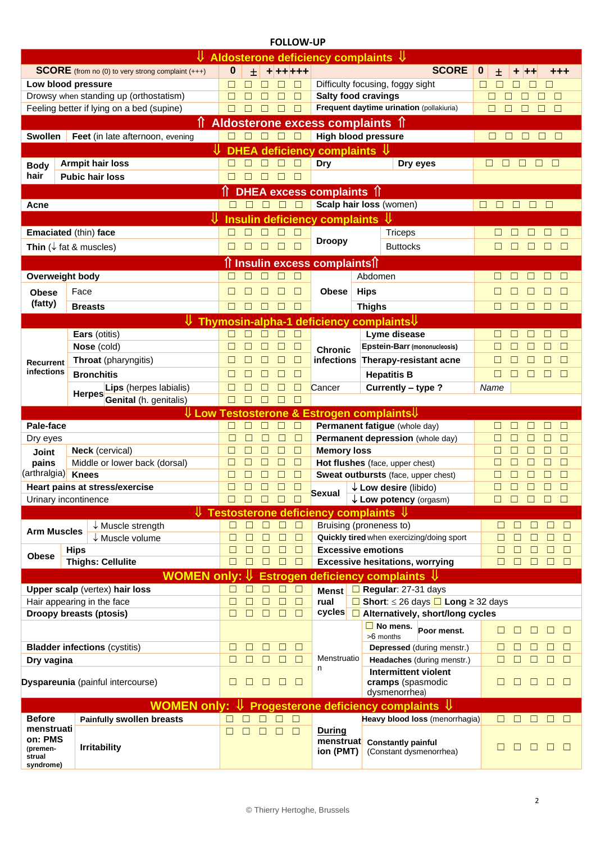## **FOLLOW-UP**

| Aldosterone deficiency complaints $\Downarrow$                                                  |                                                      |        |              |             |                                                                  |                                 |                                                              |               |                                                                   |                                             |  |
|-------------------------------------------------------------------------------------------------|------------------------------------------------------|--------|--------------|-------------|------------------------------------------------------------------|---------------------------------|--------------------------------------------------------------|---------------|-------------------------------------------------------------------|---------------------------------------------|--|
| <b>SCORE</b> (from no (0) to very strong complaint (+++)                                        |                                                      |        | $\pm$        |             |                                                                  | $+ + + + + +$                   |                                                              |               | <b>SCORE</b>                                                      | $\boldsymbol{0}$<br>土<br>٠<br>+++           |  |
| Low blood pressure                                                                              |                                                      |        |              |             |                                                                  |                                 |                                                              |               | Difficulty focusing, foggy sight                                  | $\Box$<br>$\Box$                            |  |
| Drowsy when standing up (orthostatism)                                                          |                                                      |        |              |             |                                                                  | $\Box$                          | <b>Salty food cravings</b>                                   |               |                                                                   | □<br>П                                      |  |
| Feeling better if lying on a bed (supine)                                                       |                                                      |        |              | $\Box$      | □                                                                | $\Box$                          |                                                              |               | Frequent daytime urination (pollakiuria)                          | $\Box$<br>$\Box$<br>□                       |  |
|                                                                                                 |                                                      |        |              |             |                                                                  | Aldosterone excess complaints 1 |                                                              |               |                                                                   |                                             |  |
| Swollen<br>Feet (in late afternoon, evening                                                     |                                                      |        | $\Box$       | $\Box$      | $\Box$                                                           | <u>and</u>                      | <b>High blood pressure</b>                                   |               |                                                                   | $\Box$<br>$\Box$<br>$\Box$<br>$\Box$        |  |
|                                                                                                 |                                                      |        |              |             |                                                                  |                                 | DHEA deficiency complaints $\,\Downarrow\,$                  |               |                                                                   |                                             |  |
| <b>Armpit hair loss</b><br><b>Body</b>                                                          |                                                      |        |              | П           | $\Box$                                                           | $\Box$                          | <b>Dry</b>                                                   |               | Dry eyes                                                          | $\Box$<br>$\Box$<br>□<br>□<br>$\Box$        |  |
| hair                                                                                            | <b>Pubic hair loss</b>                               |        |              | П           | □                                                                | $\Box$                          |                                                              |               |                                                                   |                                             |  |
|                                                                                                 |                                                      |        |              |             |                                                                  |                                 | DHEA excess complaints 1                                     |               |                                                                   |                                             |  |
| Acne                                                                                            |                                                      | $\Box$ | $\Box$       |             | $\begin{array}{c c c c c} \hline \Box & \Box & \Box \end{array}$ |                                 | Scalp hair loss (women)                                      |               |                                                                   | $\Box$<br>$\Box$<br>$\Box$ $\Box$<br>$\Box$ |  |
|                                                                                                 |                                                      |        |              |             |                                                                  |                                 | Insulin deficiency complaints $\mathcal V$                   |               |                                                                   |                                             |  |
|                                                                                                 | Emaciated (thin) face                                |        |              |             |                                                                  | □                               |                                                              |               | <b>Triceps</b>                                                    | П                                           |  |
|                                                                                                 | Thin ( $\downarrow$ fat & muscles)                   | □      |              | $\Box$      | $\Box$                                                           | $\Box$                          | <b>Droopy</b>                                                |               | <b>Buttocks</b>                                                   |                                             |  |
|                                                                                                 |                                                      |        |              |             |                                                                  |                                 | <b>↑ Insulin excess complaints</b>                           |               |                                                                   |                                             |  |
| Overweight body                                                                                 |                                                      |        |              |             |                                                                  | $\Box$                          |                                                              | Abdomen       |                                                                   | □                                           |  |
| <b>Obese</b>                                                                                    | Face                                                 |        |              |             |                                                                  | $\Box$                          | <b>Obese</b>                                                 | <b>Hips</b>   |                                                                   | П                                           |  |
| (fatty)                                                                                         |                                                      |        |              |             |                                                                  |                                 |                                                              |               |                                                                   |                                             |  |
|                                                                                                 | <b>Breasts</b>                                       | $\Box$ |              |             |                                                                  | П                               |                                                              | <b>Thighs</b> |                                                                   | $\Box$<br>П<br>П                            |  |
|                                                                                                 | ⇓                                                    |        |              |             |                                                                  |                                 | Thymosin-alpha-1 deficiency complaints↓                      |               |                                                                   |                                             |  |
|                                                                                                 | Ears (otitis)<br>Nose (cold)                         | $\Box$ |              |             | □                                                                | $\Box$<br>$\Box$                |                                                              |               | Lyme disease<br><b>Epstein-Barr (mononucleosis)</b>               | П<br>П                                      |  |
|                                                                                                 | Throat (pharyngitis)                                 | ⊔      |              |             |                                                                  | □                               | <b>Chronic</b><br>infections                                 |               | Therapy-resistant acne                                            | П                                           |  |
| <b>Recurrent</b><br>infections                                                                  | <b>Bronchitis</b>                                    | $\Box$ |              |             | $\Box$                                                           | $\Box$                          |                                                              |               | <b>Hepatitis B</b>                                                | $\Box$<br>П<br>E<br>П                       |  |
|                                                                                                 | Lips (herpes labialis)                               | $\Box$ |              |             |                                                                  | □                               | Cancer                                                       |               | Currently - type ?                                                | Name                                        |  |
|                                                                                                 | <b>Herpes</b>                                        |        |              |             |                                                                  |                                 |                                                              |               |                                                                   |                                             |  |
| Genital (h. genitalis)<br>□<br>$\Downarrow$ Low Testosterone & Estrogen complaints $\Downarrow$ |                                                      |        |              |             |                                                                  |                                 |                                                              |               |                                                                   |                                             |  |
|                                                                                                 |                                                      |        |              |             |                                                                  |                                 |                                                              |               |                                                                   |                                             |  |
|                                                                                                 |                                                      |        |              |             |                                                                  | □                               |                                                              |               |                                                                   | $\Box$                                      |  |
| Pale-face<br>Dry eyes                                                                           |                                                      | $\Box$ |              |             | П                                                                | □                               |                                                              |               | Permanent fatigue (whole day)<br>Permanent depression (whole day) | П                                           |  |
| Joint                                                                                           | <b>Neck</b> (cervical)                               | $\Box$ |              |             |                                                                  | $\Box$                          | <b>Memory loss</b>                                           |               |                                                                   | П<br>Г<br>$\Box$                            |  |
| pains                                                                                           | Middle or lower back (dorsal)                        | $\Box$ |              |             |                                                                  | $\Box$                          |                                                              |               | Hot flushes (face, upper chest)                                   | П<br>$\Box$                                 |  |
| (arthralgia)                                                                                    | <b>Knees</b>                                         | □      |              |             |                                                                  | $\Box$                          |                                                              |               | Sweat outbursts (face, upper chest)                               | П<br>Г<br>□                                 |  |
|                                                                                                 | Heart pains at stress/exercise                       | □      |              | □           | □                                                                | $\Box$                          | Sexual                                                       |               | $\downarrow$ Low desire (libido)                                  | П<br>П<br>□                                 |  |
| Urinary incontinence                                                                            |                                                      | $\Box$ | $\Box$       | $\Box$      | $\Box$                                                           |                                 |                                                              |               | ↓ Low potency (orgasm)                                            | $\Box$<br>$\Box$<br>$\Box$                  |  |
|                                                                                                 |                                                      |        |              |             |                                                                  |                                 | $\Downarrow$ Testosterone deficiency complaints $\Downarrow$ |               |                                                                   |                                             |  |
| <b>Arm Muscles</b>                                                                              | $\downarrow$ Muscle strength                         | □      |              |             | $\Box$                                                           | □                               | Bruising (proneness to)                                      |               |                                                                   | $\Box$<br>$\Box$                            |  |
|                                                                                                 | $\downarrow$ Muscle volume                           | ⊔<br>П |              |             | $\Box$<br>$\Box$                                                 | □<br>$\Box$                     |                                                              |               | Quickly tired when exercizing/doing sport                         | $\Box$<br>$\Box$<br>$\Box$<br>$\Box$        |  |
| <b>Obese</b>                                                                                    | <b>Hips</b><br><b>Thighs: Cellulite</b>              | □      |              |             | $\Box$                                                           | $\Box$                          | <b>Excessive emotions</b>                                    |               | <b>Excessive hesitations, worrying</b>                            | □<br>$\Box$<br>□<br>П                       |  |
|                                                                                                 |                                                      |        |              |             |                                                                  |                                 |                                                              |               |                                                                   |                                             |  |
|                                                                                                 | <b>WOMEN only:</b><br>Upper scalp (vertex) hair loss | П      |              | П           | $\Box$                                                           | $\Box$                          | <b>Estrogen deficiency complaints</b>                        |               | $\Box$ Regular: 27-31 days                                        |                                             |  |
|                                                                                                 | Hair appearing in the face                           | □      | Г            | П           | $\Box$                                                           | $\Box$                          | <b>Menst</b><br>rual                                         |               | □ Short: $\leq$ 26 days □ Long ≥ 32 days                          |                                             |  |
|                                                                                                 | Droopy breasts (ptosis)                              | $\Box$ | П            | $\Box$      | $\Box$                                                           | $\Box$                          | cycles                                                       |               | $\Box$ Alternatively, short/long cycles                           |                                             |  |
|                                                                                                 |                                                      |        |              |             |                                                                  |                                 |                                                              |               | $\Box$ No mens.<br>Poor menst.                                    | □<br>E                                      |  |
|                                                                                                 |                                                      |        |              |             |                                                                  |                                 |                                                              |               | >6 months                                                         |                                             |  |
|                                                                                                 | <b>Bladder infections (cystitis)</b>                 | □      | П<br>□       | □<br>$\Box$ | $\Box$                                                           | $\Box$                          | Menstruatio                                                  |               | Depressed (during menstr.)                                        | П<br>П<br>П<br>П<br>$\Box$                  |  |
| Dry vagina                                                                                      |                                                      | □      |              |             | $\Box$                                                           | $\Box$                          | n                                                            |               | Headaches (during menstr.)<br>Intermittent violent                | $\Box$<br>□<br>□<br>$\Box$<br>$\Box$        |  |
|                                                                                                 | Dyspareunia (painful intercourse)                    | □      | $\mathbf{1}$ | $\Box$      | $\Box$                                                           | □                               |                                                              |               | cramps (spasmodic                                                 | □<br>П<br>$\Box$<br>$\Box$                  |  |
|                                                                                                 |                                                      |        |              |             |                                                                  |                                 |                                                              |               | dysmenorrhea)                                                     |                                             |  |
|                                                                                                 | WOMEN only: $\Downarrow$                             |        |              |             |                                                                  |                                 |                                                              |               | Progesterone deficiency complaints $\Downarrow$                   |                                             |  |
| <b>Before</b><br>menstruati                                                                     | <b>Painfully swollen breasts</b>                     |        |              |             | $\Box$                                                           | $\Box$                          |                                                              |               | Heavy blood loss (menorrhagia)                                    | $\Box$<br>$\Box$<br>□<br>□<br>$\Box$        |  |
| on: PMS                                                                                         |                                                      | $\Box$ | П            | $\Box$      | $\Box$                                                           | $\Box$                          | During<br>menstruat                                          |               |                                                                   |                                             |  |
| (premen-<br>strual                                                                              | <b>Irritability</b>                                  |        |              |             |                                                                  |                                 | ion (PMT)                                                    |               | <b>Constantly painful</b><br>(Constant dysmenorrhea)              | $\Box$<br>$\Box$<br>$\Box$<br>$\mathsf{L}$  |  |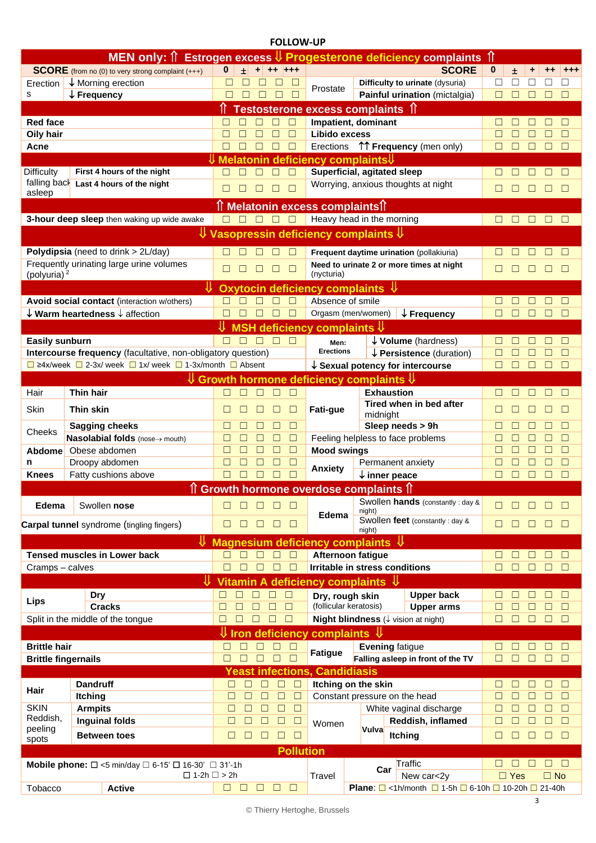## **FOLLOW-UP**

|                                   | <b>MEN only: 1 Estrogen excess</b>                                                                  |                                                                                        |                                      |                  | V Progesterone deficiency complaints                                                                  | ୀ                                                               |                                                                                     |             |               |             |             |                  |
|-----------------------------------|-----------------------------------------------------------------------------------------------------|----------------------------------------------------------------------------------------|--------------------------------------|------------------|-------------------------------------------------------------------------------------------------------|-----------------------------------------------------------------|-------------------------------------------------------------------------------------|-------------|---------------|-------------|-------------|------------------|
|                                   | <b>SCORE</b> (from no (0) to very strong complaint (+++)                                            | $\mathbf{0}$<br>$\pm$                                                                  | ٠                                    | $++$ +++         | <b>SCORE</b>                                                                                          |                                                                 |                                                                                     |             | 士             | ٠           | $^{++}$     | $^{++}$          |
| Erection                          | ↓ Morning erection                                                                                  | □                                                                                      |                                      | Е                | Prostate                                                                                              |                                                                 | Difficulty to urinate (dysuria)                                                     | □           | □             |             |             |                  |
| s                                 | $\downarrow$ Frequency                                                                              | $\Box$                                                                                 | П<br>П                               | $\Box$           |                                                                                                       |                                                                 | Painful urination (mictalgia)                                                       | П           | □             | □           | $\Box$      | □                |
|                                   |                                                                                                     |                                                                                        |                                      |                  |                                                                                                       | Testosterone excess complaints 1                                |                                                                                     |             |               |             |             |                  |
| <b>Red face</b>                   |                                                                                                     |                                                                                        | П                                    |                  | Impatient, dominant                                                                                   |                                                                 | Г                                                                                   |             |               |             | □           |                  |
| Oily hair                         |                                                                                                     | □                                                                                      |                                      | $\Box$           | Libido excess                                                                                         |                                                                 |                                                                                     | Г           |               |             |             | $\Box$           |
| Acne                              |                                                                                                     | П                                                                                      |                                      | $\Box$           | Erections                                                                                             |                                                                 | ↑↑ Frequency (men only)                                                             | Г           |               |             |             | $\Box$           |
|                                   | First 4 hours of the night                                                                          |                                                                                        |                                      |                  | Melatonin deficiency complaints                                                                       |                                                                 |                                                                                     |             |               |             |             |                  |
| <b>Difficulty</b><br>falling back | Superficial, agitated sleep<br>Worrying, anxious thoughts at night                                  |                                                                                        |                                      |                  |                                                                                                       |                                                                 |                                                                                     |             |               |             | П           |                  |
| asleep                            | Last 4 hours of the night                                                                           | П<br>$\Box$                                                                            | □<br>□                               | $\Box$           |                                                                                                       |                                                                 |                                                                                     | П           |               |             |             | $\Box$           |
|                                   |                                                                                                     |                                                                                        |                                      |                  | 1 Melatonin excess complaints <sup>1</sup>                                                            |                                                                 |                                                                                     |             |               |             |             |                  |
|                                   | 3-hour deep sleep then waking up wide awake                                                         | П<br>$\Box$                                                                            | $\Box$                               | $\Box$           |                                                                                                       | Heavy head in the morning                                       |                                                                                     | П           | $\Box$        |             |             | П                |
|                                   |                                                                                                     |                                                                                        |                                      |                  |                                                                                                       | Vasopressin deficiency complaints $\mathsf{\Psi}$               |                                                                                     |             |               |             |             |                  |
|                                   |                                                                                                     |                                                                                        |                                      |                  |                                                                                                       |                                                                 |                                                                                     |             |               |             |             |                  |
|                                   | Polydipsia (need to drink > 2L/day)                                                                 |                                                                                        |                                      | П                |                                                                                                       |                                                                 | Frequent daytime urination (pollakiuria)                                            |             |               |             |             | □                |
|                                   | Frequently urinating large urine volumes                                                            | П                                                                                      | П<br>П                               | □                |                                                                                                       |                                                                 | Need to urinate 2 or more times at night                                            | □           |               |             |             | $\Box$           |
| (polyuria) <sup>2</sup>           | ₩                                                                                                   |                                                                                        |                                      |                  | (nycturia)                                                                                            |                                                                 |                                                                                     |             |               |             |             |                  |
|                                   |                                                                                                     |                                                                                        |                                      |                  | Oxytocin deficiency complaints $\Psi$                                                                 |                                                                 |                                                                                     |             |               |             |             |                  |
|                                   | Avoid social contact (interaction w/others)<br>$\downarrow$ Warm heartedness $\downarrow$ affection |                                                                                        |                                      | $\Box$           | Absence of smile<br>Orgasm (men/women)                                                                |                                                                 | $\downarrow$ Frequency                                                              |             |               |             |             | П<br>П           |
|                                   |                                                                                                     |                                                                                        |                                      |                  |                                                                                                       |                                                                 |                                                                                     |             |               |             |             |                  |
|                                   |                                                                                                     |                                                                                        |                                      |                  | MSH deficiency complaints ${\color{red}\bigtriangledown}$                                             |                                                                 |                                                                                     |             |               |             |             |                  |
| <b>Easily sunburn</b>             | Intercourse frequency (facultative, non-obligatory question)                                        |                                                                                        |                                      | П                | Men:<br><b>Erections</b>                                                                              |                                                                 | $\downarrow$ Volume (hardness)<br>$\downarrow$ Persistence (duration)               |             |               |             |             | $\Box$<br>□      |
|                                   | $\Box$ ≥4x/week $\Box$ 2-3x/ week $\Box$ 1x/ week $\Box$ 1-3x/month $\Box$ Absent                   |                                                                                        |                                      |                  |                                                                                                       |                                                                 | $\downarrow$ Sexual potency for intercourse                                         | П           |               |             | $\Box$      | $\Box$           |
|                                   |                                                                                                     |                                                                                        |                                      |                  |                                                                                                       | $\Downarrow$ Growth hormone deficiency complaints $\Downarrow$  |                                                                                     |             |               |             |             |                  |
| Hair                              | <b>Thin hair</b>                                                                                    | $\Box$                                                                                 | П<br>П                               | П                |                                                                                                       | <b>Exhaustion</b>                                               |                                                                                     | П           |               |             |             | $\Box$           |
|                                   |                                                                                                     |                                                                                        |                                      |                  |                                                                                                       |                                                                 | Tired when in bed after                                                             |             |               |             |             |                  |
| Skin                              | Thin skin                                                                                           |                                                                                        |                                      |                  | Fati-gue                                                                                              | midnight                                                        |                                                                                     |             |               |             |             | П                |
| Cheeks                            | <b>Sagging cheeks</b>                                                                               | □                                                                                      |                                      | □                |                                                                                                       | Sleep needs > 9h                                                |                                                                                     | Е           |               |             | $\Box$      | $\Box$           |
|                                   | Nasolabial folds (nose-> mouth)                                                                     | □                                                                                      |                                      | $\Box$           |                                                                                                       | Feeling helpless to face problems                               |                                                                                     |             |               | □           | □           | $\Box$           |
| <b>Abdome</b>                     | Obese abdomen                                                                                       | П                                                                                      | П                                    | $\Box$           | <b>Mood swings</b>                                                                                    |                                                                 |                                                                                     | Г           |               |             | $\Box$      | $\Box$           |
| n                                 | Droopy abdomen                                                                                      | □                                                                                      |                                      | □                | Anxiety                                                                                               | Permanent anxiety                                               |                                                                                     |             |               |             | П           |                  |
| <b>Knees</b>                      | Fatty cushions above                                                                                | П                                                                                      |                                      |                  |                                                                                                       |                                                                 | $\downarrow$ inner peace                                                            |             |               |             |             | П                |
|                                   |                                                                                                     |                                                                                        |                                      |                  |                                                                                                       | 1 Growth hormone overdose complaints 1                          |                                                                                     |             |               |             |             |                  |
| Edema                             | Swollen nose                                                                                        | $\Box$<br>П                                                                            | $\Box$<br>П<br>$\Box$                |                  |                                                                                                       | Swollen hands (constantly : day &<br>night)                     |                                                                                     | □           | П             | $\Box$      | $\Box$      | $\Box$           |
|                                   | <b>Carpal tunnel</b> syndrome (tingling fingers)                                                    | $\Box$<br>П                                                                            | $\Box$<br>$\Box$                     | □                | Edema                                                                                                 |                                                                 | Swollen feet (constantly : day &                                                    | $\Box$      | П             | П           | $\Box$      | $\Box$           |
|                                   |                                                                                                     |                                                                                        |                                      |                  |                                                                                                       | night)                                                          |                                                                                     |             |               |             |             |                  |
|                                   |                                                                                                     |                                                                                        |                                      |                  |                                                                                                       | $\mathsf{\Psi}$ Magnesium deficiency complaints $\mathsf{\Psi}$ |                                                                                     |             |               |             |             |                  |
|                                   | <b>Tensed muscles in Lower back</b>                                                                 | П<br>П<br>П<br>$\Box$                                                                  | $\Box$<br>$\Box$<br>$\Box$<br>$\Box$ | $\Box$<br>$\Box$ | Afternoon fatigue                                                                                     | <b>Irritable in stress conditions</b>                           |                                                                                     | □<br>$\Box$ | □<br>$\Box$   | П<br>$\Box$ | П<br>$\Box$ | $\Box$<br>$\Box$ |
| Cramps - calves                   |                                                                                                     |                                                                                        |                                      |                  |                                                                                                       |                                                                 |                                                                                     |             |               |             |             |                  |
|                                   |                                                                                                     | $\Box$<br>$\Box$                                                                       | $\Box$<br>$\Box$                     | $\Box$           |                                                                                                       | Vitamin A deficiency complaints $\mathcal V$                    |                                                                                     |             |               |             |             | $\Box$           |
| Lips                              | Dry<br><b>Cracks</b>                                                                                | $\Box$<br>$\Box$                                                                       | $\Box$<br>$\Box$                     | $\Box$           | Dry, rough skin                                                                                       |                                                                 | <b>Upper back</b>                                                                   | □<br>$\Box$ | $\Box$<br>П   | $\Box$<br>П | □<br>П      | $\Box$           |
|                                   | Split in the middle of the tongue                                                                   | $\Box$<br>□                                                                            | $\Box$<br>$\Box$                     | $\Box$           | (follicular keratosis)<br><b>Upper arms</b><br><b>Night blindness</b> ( $\downarrow$ vision at night) |                                                                 |                                                                                     | $\Box$      | $\Box$        | $\Box$      | □           | $\Box$           |
|                                   |                                                                                                     | <b>U</b> Iron deficiency                                                               |                                      |                  | complaints $\Downarrow$                                                                               |                                                                 |                                                                                     |             |               |             |             |                  |
| <b>Brittle hair</b>               |                                                                                                     | □<br>П                                                                                 | $\Box$<br>П                          | $\Box$           |                                                                                                       | <b>Evening fatigue</b>                                          |                                                                                     | □           |               |             |             | $\Box$           |
| <b>Brittle fingernails</b>        |                                                                                                     | $\Box$<br>$\Box$<br>$\Box$<br>$\Box$<br>П                                              |                                      |                  | <b>Fatigue</b>                                                                                        | Falling asleep in front of the TV                               | П                                                                                   | $\Box$      | $\Box$        | $\Box$      | $\Box$      |                  |
|                                   |                                                                                                     |                                                                                        |                                      |                  |                                                                                                       |                                                                 |                                                                                     |             |               |             |             |                  |
|                                   | <b>Dandruff</b>                                                                                     | <b>Yeast infections, Candidiasis</b><br>$\Box$<br>$\Box$<br>$\Box$<br>$\Box$<br>$\Box$ |                                      |                  | Itching on the skin                                                                                   | □                                                               | П                                                                                   | □           | □             | $\Box$      |             |                  |
| Hair                              | <b>Itching</b>                                                                                      | $\Box$<br>$\Box$                                                                       | $\Box$<br>□                          | $\Box$           |                                                                                                       | Constant pressure on the head                                   |                                                                                     | □           | $\Box$        | $\Box$      | □           | $\Box$           |
| <b>SKIN</b>                       | <b>Armpits</b>                                                                                      | $\Box$<br>$\Box$                                                                       | $\Box$<br>$\Box$                     | $\Box$           |                                                                                                       |                                                                 | White vaginal discharge                                                             | Г           | $\Box$        | $\Box$      | $\Box$      | $\Box$           |
| Reddish,                          | <b>Inguinal folds</b>                                                                               | $\Box$<br>□                                                                            | $\Box$<br>$\Box$                     | $\Box$           | Women                                                                                                 |                                                                 | Reddish, inflamed                                                                   | $\Box$      | □             | $\Box$      | $\Box$      | $\Box$           |
| peeling<br>spots                  | <b>Between toes</b>                                                                                 | □<br>$\Box$                                                                            | $\Box$<br>$\Box$                     | $\Box$           |                                                                                                       | Vulva                                                           | <b>Itching</b>                                                                      | □           | □             | $\Box$      | □           | $\Box$           |
|                                   |                                                                                                     |                                                                                        |                                      | <b>Pollution</b> |                                                                                                       |                                                                 |                                                                                     |             |               |             |             |                  |
|                                   | Mobile phone: $\Box$ <5 min/day $\Box$ 6-15' $\Box$ 16-30' $\Box$ 31'-1h                            |                                                                                        |                                      |                  |                                                                                                       |                                                                 | Traffic                                                                             |             |               | $\Box$      | $\Box$      | $\Box$           |
|                                   | $\square$ 1-2h $\square$ > 2h                                                                       |                                                                                        |                                      |                  | Travel                                                                                                | Car                                                             | New car<2y                                                                          |             | $\square$ Yes |             | $\Box$ No   |                  |
| Tobacco                           | <b>Active</b>                                                                                       | $\Box$<br>$\Box$                                                                       | $\Box$<br>□                          | $\Box$           |                                                                                                       |                                                                 | <b>Plane:</b> $\Box$ <1h/month $\Box$ 1-5h $\Box$ 6-10h $\Box$ 10-20h $\Box$ 21-40h |             |               |             |             |                  |